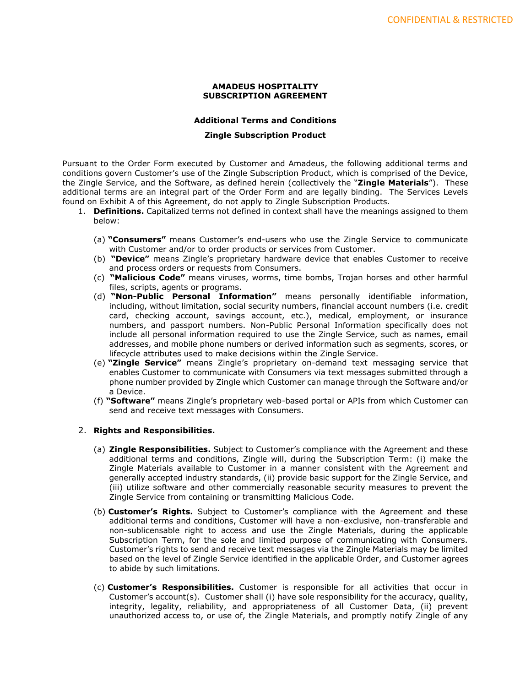## **AMADEUS HOSPITALITY SUBSCRIPTION AGREEMENT**

## **Additional Terms and Conditions**

## **Zingle Subscription Product**

Pursuant to the Order Form executed by Customer and Amadeus, the following additional terms and conditions govern Customer's use of the Zingle Subscription Product, which is comprised of the Device, the Zingle Service, and the Software, as defined herein (collectively the "**Zingle Materials**"). These additional terms are an integral part of the Order Form and are legally binding. The Services Levels found on Exhibit A of this Agreement, do not apply to Zingle Subscription Products.

- 1. **Definitions.** Capitalized terms not defined in context shall have the meanings assigned to them below:
	- (a) **"Consumers"** means Customer's end-users who use the Zingle Service to communicate with Customer and/or to order products or services from Customer.
	- (b) **"Device"** means Zingle's proprietary hardware device that enables Customer to receive and process orders or requests from Consumers.
	- (c) **"Malicious Code"** means viruses, worms, time bombs, Trojan horses and other harmful files, scripts, agents or programs.
	- (d) **"Non-Public Personal Information"** means personally identifiable information, including, without limitation, social security numbers, financial account numbers (i.e. credit card, checking account, savings account, etc.), medical, employment, or insurance numbers, and passport numbers. Non-Public Personal Information specifically does not include all personal information required to use the Zingle Service, such as names, email addresses, and mobile phone numbers or derived information such as segments, scores, or lifecycle attributes used to make decisions within the Zingle Service.
	- (e) **"Zingle Service"** means Zingle's proprietary on-demand text messaging service that enables Customer to communicate with Consumers via text messages submitted through a phone number provided by Zingle which Customer can manage through the Software and/or a Device.
	- (f) **"Software"** means Zingle's proprietary web-based portal or APIs from which Customer can send and receive text messages with Consumers.

## 2. **Rights and Responsibilities.**

- (a) **Zingle Responsibilities.** Subject to Customer's compliance with the Agreement and these additional terms and conditions, Zingle will, during the Subscription Term: (i) make the Zingle Materials available to Customer in a manner consistent with the Agreement and generally accepted industry standards, (ii) provide basic support for the Zingle Service, and (iii) utilize software and other commercially reasonable security measures to prevent the Zingle Service from containing or transmitting Malicious Code.
- (b) **Customer's Rights.** Subject to Customer's compliance with the Agreement and these additional terms and conditions, Customer will have a non-exclusive, non-transferable and non-sublicensable right to access and use the Zingle Materials, during the applicable Subscription Term, for the sole and limited purpose of communicating with Consumers. Customer's rights to send and receive text messages via the Zingle Materials may be limited based on the level of Zingle Service identified in the applicable Order, and Customer agrees to abide by such limitations.
- (c) **Customer's Responsibilities.** Customer is responsible for all activities that occur in Customer's account(s). Customer shall (i) have sole responsibility for the accuracy, quality, integrity, legality, reliability, and appropriateness of all Customer Data, (ii) prevent unauthorized access to, or use of, the Zingle Materials, and promptly notify Zingle of any